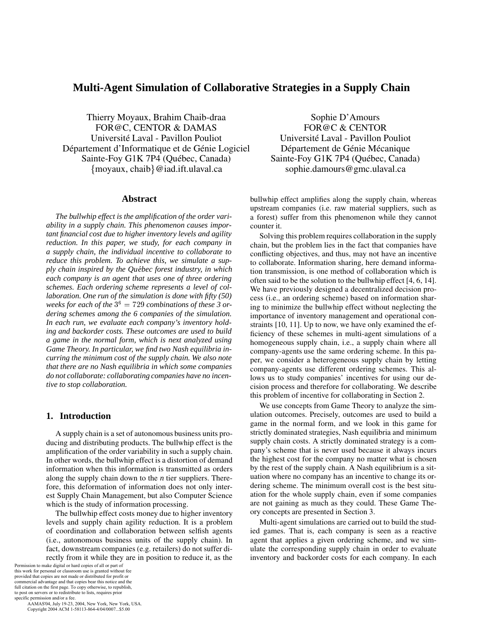# **Multi-Agent Simulation of Collaborative Strategies in a Supply Chain**

Thierry Moyaux, Brahim Chaib-draa FOR@C, CENTOR & DAMAS Université Laval - Pavillon Pouliot Département d'Informatique et de Génie Logiciel Sainte-Foy G1K 7P4 (Québec, Canada) moyaux, chaib@iad.ift.ulaval.ca

#### **Abstract**

*The bullwhip effect is the amplification of the order variability in a supply chain. This phenomenon causes important financial cost due to higher inventory levels and agility reduction. In this paper, we study, for each company in a supply chain, the individual incentive to collaborate to reduce this problem. To achieve this, we simulate a supply chain inspired by the Quebec forest industry, in which ´ each company is an agent that uses one of three ordering schemes. Each ordering scheme represents a level of collaboration. One run of the simulation is done with fifty (50)* weeks for each of the  $3^6=729$  combinations of these 3 or*dering schemes among the 6 companies of the simulation. In each run, we evaluate each company's inventory holding and backorder costs. These outcomes are used to build a game in the normal form, which is next analyzed using Game Theory. In particular, we find two Nash equilibria incurring the minimum cost of the supply chain. We also note that there are no Nash equilibria in which some companies do not collaborate: collaborating companies have no incentive to stop collaboration.*

# **1. Introduction**

A supply chain is a set of autonomous business units producing and distributing products. The bullwhip effect is the amplification of the order variability in such a supply chain. In other words, the bullwhip effect is a distortion of demand information when this information is transmitted as orders along the supply chain down to the *n* tier suppliers. Therefore, this deformation of information does not only interest Supply Chain Management, but also Computer Science which is the study of information processing.

The bullwhip effect costs money due to higher inventory levels and supply chain agility reduction. It is a problem of coordination and collaboration between selfish agents (i.e., autonomous business units of the supply chain). In fact, downstream companies (e.g. retailers) do not suffer directly from it while they are in position to reduce it, as the

Permission to make digital or hard copies of all or part of this work for personal or classroom use is granted without fee provided that copies are not made or distributed for profit or commercial advantage and that copies bear this notice and the full citation on the first page. To copy otherwise, to republish, to post on servers or to redistribute to lists, requires prior specific permission and/or a fee.

 AAMAS'04, July 19-23, 2004, New York, New York, USA. Copyright 2004 ACM 1-58113-864-4/04/0007...\$5.00

Sophie D'Amours FOR@C & CENTOR Université Laval - Pavillon Pouliot Département de Génie Mécanique Sainte-Foy G1K 7P4 (Québec, Canada) sophie.damours@gmc.ulaval.ca

bullwhip effect amplifies along the supply chain, whereas upstream companies (i.e. raw material suppliers, such as a forest) suffer from this phenomenon while they cannot counter it.

Solving this problem requires collaboration in the supply chain, but the problem lies in the fact that companies have conflicting objectives, and thus, may not have an incentive to collaborate. Information sharing, here demand information transmission, is one method of collaboration which is often said to be the solution to the bullwhip effect [4, 6, 14]. We have previously designed a decentralized decision process (i.e., an ordering scheme) based on information sharing to minimize the bullwhip effect without neglecting the importance of inventory management and operational constraints [10, 11]. Up to now, we have only examined the efficiency of these schemes in multi-agent simulations of a homogeneous supply chain, i.e., a supply chain where all company-agents use the same ordering scheme. In this paper, we consider a heterogeneous supply chain by letting company-agents use different ordering schemes. This allows us to study companies' incentives for using our decision process and therefore for collaborating. We describe this problem of incentive for collaborating in Section 2.

We use concepts from Game Theory to analyze the simulation outcomes. Precisely, outcomes are used to build a game in the normal form, and we look in this game for strictly dominated strategies, Nash equilibria and minimum supply chain costs. A strictly dominated strategy is a company's scheme that is never used because it always incurs the highest cost for the company no matter what is chosen by the rest of the supply chain. A Nash equilibrium is a situation where no company has an incentive to change its ordering scheme. The minimum overall cost is the best situation for the whole supply chain, even if some companies are not gaining as much as they could. These Game Theory concepts are presented in Section 3.

Multi-agent simulations are carried out to build the studied games. That is, each company is seen as a reactive agent that applies a given ordering scheme, and we simulate the corresponding supply chain in order to evaluate inventory and backorder costs for each company. In each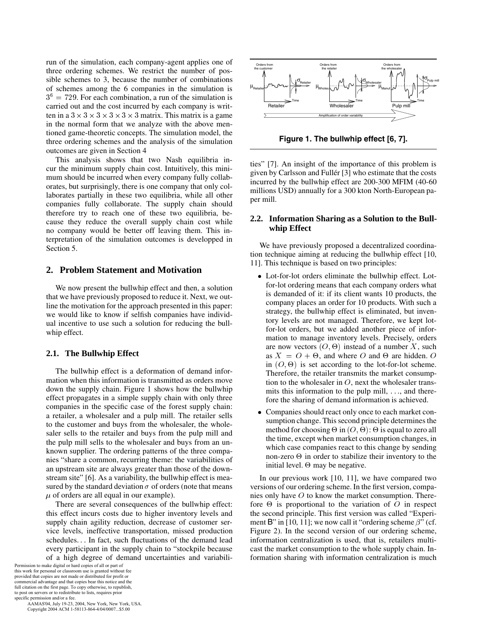run of the simulation, each company-agent applies one of three ordering schemes. We restrict the number of possible schemes to 3, because the number of combinations of schemes among the 6 companies in the simulation is  $3<sup>6</sup> = 729$ . For each combination, a run of the simulation is carried out and the cost incurred by each company is written in a  $3 \times 3 \times 3 \times 3 \times 3 \times 3$  matrix. This matrix is a game in the normal form that we analyze with the above mentioned game-theoretic concepts. The simulation model, the three ordering schemes and the analysis of the simulation outcomes are given in Section 4

This analysis shows that two Nash equilibria incur the minimum supply chain cost. Intuitively, this minimum should be incurred when every company fully collaborates, but surprisingly, there is one company that only collaborates partially in these two equilibria, while all other companies fully collaborate. The supply chain should therefore try to reach one of these two equilibria, because they reduce the overall supply chain cost while no company would be better off leaving them. This interpretation of the simulation outcomes is developped in Section 5.

## **2. Problem Statement and Motivation**

We now present the bullwhip effect and then, a solution that we have previously proposed to reduce it. Next, we outline the motivation for the approach presented in this paper: we would like to know if selfish companies have individual incentive to use such a solution for reducing the bullwhip effect.

#### **2.1. The Bullwhip Effect**

The bullwhip effect is a deformation of demand information when this information is transmitted as orders move down the supply chain. Figure 1 shows how the bullwhip effect propagates in a simple supply chain with only three companies in the specific case of the forest supply chain: a retailer, a wholesaler and a pulp mill. The retailer sells to the customer and buys from the wholesaler, the wholesaler sells to the retailer and buys from the pulp mill and the pulp mill sells to the wholesaler and buys from an unknown supplier. The ordering patterns of the three companies "share a common, recurring theme: the variabilities of an upstream site are always greater than those of the downstream site" [6]. As a variability, the bullwhip effect is measured by the standard deviation  $\sigma$  of orders (note that means  $\mu$  of orders are all equal in our example).

There are several consequences of the bullwhip effect: this effect incurs costs due to higher inventory levels and supply chain agility reduction, decrease of customer service levels, ineffective transportation, missed production schedules. In fact, such fluctuations of the demand lead every participant in the supply chain to "stockpile because of a high degree of demand uncertainties and variabili-

Permission to make digital or hard copies of all or part of this work for personal or classroom use is granted without fee provided that copies are not made or distributed for profit or commercial advantage and that copies bear this notice and the full citation on the first page. To copy otherwise, to republish, to post on servers or to redistribute to lists, requires prior specific permission and/or a fee.

 AAMAS'04, July 19-23, 2004, New York, New York, USA. Copyright 2004 ACM 1-58113-864-4/04/0007...\$5.00



**Figure 1. The bullwhip effect [6, 7].**

ties" [7]. An insight of the importance of this problem is given by Carlsson and Fullér [3] who estimate that the costs incurred by the bullwhip effect are 200-300 MFIM (40-60 millions USD) annually for a 300 kton North-European paper mill.

## **2.2. Information Sharing as a Solution to the Bullwhip Effect**

We have previously proposed a decentralized coordination technique aiming at reducing the bullwhip effect [10, 11]. This technique is based on two principles:

- Lot-for-lot orders eliminate the bullwhip effect. Lotfor-lot ordering means that each company orders what is demanded of it: if its client wants 10 products, the company places an order for 10 products. With such a strategy, the bullwhip effect is eliminated, but inventory levels are not managed. Therefore, we kept lotfor-lot orders, but we added another piece of information to manage inventory levels. Precisely, orders are now vectors  $(0, \Theta)$  instead of a number X, such as  $X = O + \Theta$ , and where O and  $\Theta$  are hidden. O in  $(0, \Theta)$  is set according to the lot-for-lot scheme. Therefore, the retailer transmits the market consumption to the wholesaler in  $O$ , next the wholesaler transmits this information to the pulp mill,  $\ldots$ , and therefore the sharing of demand information is achieved.
- Companies should react only once to each market consumption change. This second principle determines the method for choosing  $\Theta$  in  $(0, \Theta)$ :  $\Theta$  is equal to zero all the time, except when market consumption changes, in which case companies react to this change by sending non-zero  $\Theta$  in order to stabilize their inventory to the initial level.  $\Theta$  may be negative.

In our previous work [10, 11], we have compared two versions of our ordering scheme. In the first version, companies only have  $\ddot{o}$  to know the market consumption. Therefore  $\Theta$  is proportional to the variation of  $\theta$  in respect the second principle. This first version was called "Experiment B" in [10, 11]; we now call it "ordering scheme  $\beta$ " (cf. Figure 2). In the second version of our ordering scheme, information centralization is used, that is, retailers multicast the market consumption to the whole supply chain. Information sharing with information centralization is much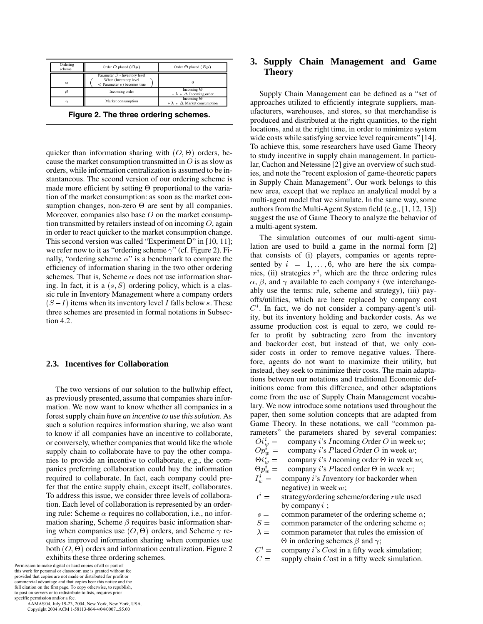

**Figure 2. The three ordering schemes.**

quicker than information sharing with  $(0, \Theta)$  orders, because the market consumption transmitted in  $\hat{O}$  is as slow as orders, while information centralization is assumed to be instantaneous. The second version of our ordering scheme is made more efficient by setting  $\Theta$  proportional to the variation of the market consumption: as soon as the market consumption changes, non-zero  $\Theta$  are sent by all companies. Moreover, companies also base  $O$  on the market consumption transmitted by retailers instead of on incoming  $O$ , again in order to react quicker to the market consumption change. This second version was called "Experiment D" in [10, 11]; we refer now to it as "ordering scheme  $\gamma$ " (cf. Figure 2). Finally, "ordering scheme  $\alpha$ " is a benchmark to compare the efficiency of information sharing in the two other ordering schemes. That is, Scheme  $\alpha$  does not use information sharing. In fact, it is a  $(s, S)$  ordering policy, which is a classic rule in Inventory Management where a company orders  $(S-I)$  items when its inventory level I falls below s. These three schemes are presented in formal notations in Subsection 4.2.

## **2.3. Incentives for Collaboration**

The two versions of our solution to the bullwhip effect, as previously presented, assume that companies share information. We now want to know whether all companies in a forest supply chain *have an incentive to use this solution*. As such a solution requires information sharing, we also want to know if all companies have an incentive to collaborate, or conversely, whether companies that would like the whole supply chain to collaborate have to pay the other companies to provide an incentive to collaborate, e.g., the companies preferring collaboration could buy the information required to collaborate. In fact, each company could prefer that the entire supply chain, except itself, collaborates. To address this issue, we consider three levels of collaboration. Each level of collaboration is represented by an ordering rule: Scheme  $\alpha$  requires no collaboration, i.e., no information sharing, Scheme  $\beta$  requires basic information sharing when companies use  $(0, \Theta)$  orders, and Scheme  $\gamma$  requires improved information sharing when companies use both  $(0, \Theta)$  orders and information centralization. Figure 2 exhibits these three ordering schemes.

Permission to make digital or hard copies of all or part of this work for personal or classroom use is granted without fee provided that copies are not made or distributed for profit or commercial advantage and that copies bear this notice and the full citation on the first page. To copy otherwise, to republish, to post on servers or to redistribute to lists, requires prior specific permission and/or a fee.

 AAMAS'04, July 19-23, 2004, New York, New York, USA. Copyright 2004 ACM 1-58113-864-4/04/0007...\$5.00

# **3. Supply Chain Management and Game Theory**

Supply Chain Management can be defined as a "set of approaches utilized to efficiently integrate suppliers, manufacturers, warehouses, and stores, so that merchandise is produced and distributed at the right quantities, to the right locations, and at the right time, in order to minimize system wide costs while satisfying service level requirements" [14]. To achieve this, some researchers have used Game Theory to study incentive in supply chain management. In particular, Cachon and Netessine [2] give an overview of such studies, and note the "recent explosion of game-theoretic papers in Supply Chain Management". Our work belongs to this new area, except that we replace an analytical model by a multi-agent model that we simulate. In the same way, some authors from the Multi-Agent System field (e.g., [1, 12, 13]) suggest the use of Game Theory to analyze the behavior of a multi-agent system.

The simulation outcomes of our multi-agent simulation are used to build a game in the normal form [2] that consists of (i) players, companies or agents represented by  $i = 1, \ldots, 6$ , who are here the six companies, (ii) strategies  $r^i$ , which are the three ordering rules  $\alpha$ ,  $\beta$ , and  $\gamma$  available to each company *i* (we interchangeably use the terms: rule, scheme and strategy), (iii) payoffs/utilities, which are here replaced by company cost  $C<sup>i</sup>$ . In fact, we do not consider a company-agent's utility, but its inventory holding and backorder costs. As we assume production cost is equal to zero, we could refer to profit by subtracting zero from the inventory and backorder cost, but instead of that, we only consider costs in order to remove negative values. Therefore, agents do not want to maximize their utility, but instead, they seek to minimize their costs. The main adaptations between our notations and traditional Economic definitions come from this difference, and other adaptations come from the use of Supply Chain Management vocabulary. We now introduce some notations used throughout the paper, then some solution concepts that are adapted from Game Theory. In these notations, we call "common parameters" the parameters shared by several companies:<br> $O i_w^i = \text{company } i \text{'s}$  Incoming Order O in week w;

- company *i*'s *Incoming Order O* in week  $w$ ;
- $Op_w^i = \text{company } i \text{'s } \text{Placed } \text{Order } O \text{ in week } w;$

$$
\Theta i_w^i = \text{company } i \text{'s } Incoming order } \Theta \text{ in week } w;
$$

- $\Theta p_w^i = \Omega$  company *i*'s *P* laced order  $\Theta$  in week *w*;
- $I_w^i =$ company  $i$ 's *I* nventory (or backorder when negative) in week  $w$ ;
- $r^i$  = strategy/ordering scheme/ordering rule used by company  $i$ ;
- $s =$  common parameter of the ordering scheme  $\alpha$ ;
- $S =$ common parameter of the ordering scheme  $\alpha$ ;
- $\lambda =$  common parameter that rules the emission of  $\Theta$  in ordering schemes  $\beta$  and  $\gamma$ ;
- $C^i = \text{company } i$ 's Cost in a fifty week simulation;
- $C =$  supply chain C ost in a fifty week simulation.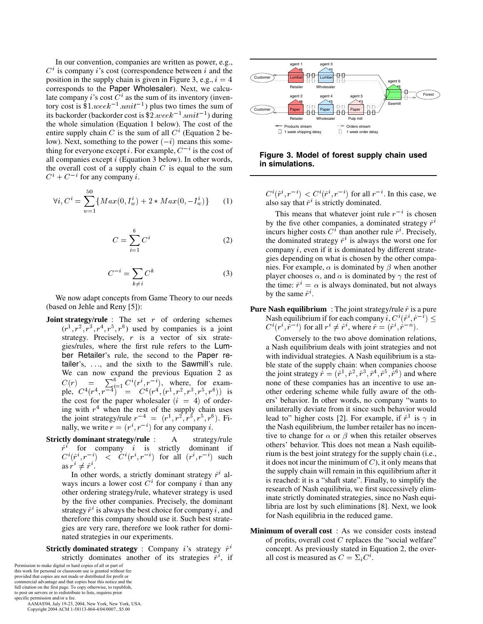In our convention, companies are written as power, e.g.,  $C<sup>i</sup>$  is company *i*'s cost (correspondence between *i* and the position in the supply chain is given in Figure 3, e.g.,  $i = 4$ corresponds to the Paper Wholesaler). Next, we calculate company *i*'s cost  $C<sup>i</sup>$  as the sum of its inventory (inventory cost is  $$1. week^{-1}.unit^{-1})$  plus two times the sum of its backorder (backorder cost is  $$2. week^{-1}.unit^{-1})$  during the whole simulation (Equation 1 below). The cost of the entire supply chain C is the sum of all  $C<sup>i</sup>$  (Equation 2 below). Next, something to the power  $(-i)$  means this something for everyone except *i*. For example,  $C^{-i}$  is the cost of all companies except  $i$  (Equation 3 below). In other words, the overall cost of a supply chain  $C$  is equal to the sum  $C^i + C^{-i}$  for any company *i*.

$$
\forall i, C^i = \sum_{w=1}^{50} \{ Max(0, I_w^i) + 2 * Max(0, -I_w^i) \} \tag{1}
$$

$$
C = \sum_{i=1}^{6} C^i
$$
 (2)

$$
C^{-i} = \sum_{k \neq i} C^k \tag{3}
$$

We now adapt concepts from Game Theory to our needs (based on Jehle and Reny [5]):

- **Joint strategy/rule** : The set  $r$  of ordering schemes  $(r<sup>1</sup>, r<sup>2</sup>, r<sup>3</sup>, r<sup>4</sup>, r<sup>5</sup>, r<sup>6</sup>)$  used by companies is a joint strategy. Precisely,  $r$  is a vector of six strategies/rules, where the first rule refers to the Lumber Retailer's rule, the second to the Paper retailer's, ..., and the sixth to the Sawmill's rule. We can now expand the previous Equation 2 as  $C(r) = \sum_{i=1}^{6} C^{i}(r^{i}, r^{-i}),$  where, for example,  $C^4(r^4, r^{-4})$  =  $C^4(r^4, (r^1, r^2, r^3, r^5, r^6))$  is the cost for the paper wholesaler  $(i = 4)$  of ordering with  $r<sup>4</sup>$  when the rest of the supply chain uses the joint strategy/rule  $r^{-4} = (r^1, r^2, r^3, r^5, r^6)$ . Finally, we write  $r = (r^i, r^{-i})$  for any company *i*.
- **Strictly dominant strategy/rule** : A strategy/rule  $\hat{r}^i$  for company i is strictly dominant if  $C^i(\hat{r}^i, r^{-i})$  <  $C^i(r^i, r^{-i})$  for all  $(r^i, r^{-i})$  such as  $r^i \neq \hat{r}^i$ .

In other words, a strictly dominant strategy  $\hat{r}^i$  always incurs a lower cost  $C<sup>i</sup>$  for company i than any other ordering strategy/rule, whatever strategy is used by the five other companies. Precisely, the dominant strategy  $\hat{r}^i$  is always the best choice for company i, and therefore this company should use it. Such best strategies are very rare, therefore we look rather for dominated strategies in our experiments.

**Strictly dominated strategy** : Company i's strategy  $\hat{r}^i$ strictly dominates another of its strategies  $\check{r}^i$ , if

Permission to make digital or hard copies of all or part of this work for personal or classroom use is granted without fee provided that copies are not made or distributed for profit or commercial advantage and that copies bear this notice and the full citation on the first page. To copy otherwise, to republish, to post on servers or to redistribute to lists, requires prior specific permission and/or a fee.

 AAMAS'04, July 19-23, 2004, New York, New York, USA. Copyright 2004 ACM 1-58113-864-4/04/0007...\$5.00



## **Figure 3. Model of forest supply chain used in simulations.**

 $C^{i}(\hat{r}^{i}, r^{-i}) < C^{i}(\check{r}^{i}, r^{-i})$  for all  $r^{-i}$ . In this case, we also say that  $\check{r}^i$  is strictly dominated.

This means that whatever joint rule  $r^{-i}$  is chosen by the five other companies, a dominated strategy  $\check{r}^i$ incurs higher costs  $C<sup>i</sup>$  than another rule  $\hat{r}$ <sup>*i*</sup>. Precisely, the dominated strategy  $\check{r}^i$  is always the worst one for company  $i$ , even if it is dominated by different strategies depending on what is chosen by the other companies. For example,  $\alpha$  is dominated by  $\beta$  when another player chooses  $\alpha$ , and  $\alpha$  is dominated by  $\gamma$  the rest of the time:  $\check{r}^i = \alpha$  is always dominated, but not always by the same  $\hat{r}^i$ .

**Pure Nash equilibrium** : The joint strategy/rule  $\hat{r}$  is a pure Nash equilibrium if for each company  $i, C^i(\hat{r}^i, \hat{r}^{-i}) \leq 1$  $C^{i}(r^{i}, \hat{r}^{-i})$  for all  $r^{i} \neq \hat{r}^{i}$ , where  $\hat{r} = (\hat{r}^{i}, \hat{r}^{-n})$ .

Conversely to the two above domination relations, a Nash equilibrium deals with joint strategies and not with individual strategies. A Nash equilibrium is a stable state of the supply chain: when companies choose the joint strategy  $\hat{r} = (\hat{r}^1, \hat{r}^2, \hat{r}^3, \hat{r}^4, \hat{r}^5, \hat{r}^6)$  and where none of these companies has an incentive to use another ordering scheme while fully aware of the others' behavior. In other words, no company "wants to unilaterally deviate from it since such behavior would lead to" higher costs [2]. For example, if  $\hat{r}^1$  is  $\gamma$  in the Nash equilibrium, the lumber retailer has no incentive to change for  $\alpha$  or  $\beta$  when this retailer observes others' behavior. This does not mean a Nash equilibrium is the best joint strategy for the supply chain (i.e., it does not incur the minimum of  $C$ ), it only means that the supply chain will remain in this equilibrium after it is reached: it is a "shaft state". Finally, to simplify the research of Nash equilibria, we first successively eliminate strictly dominated strategies, since no Nash equilibria are lost by such eliminations [8]. Next, we look for Nash equilibria in the reduced game.

**Minimum of overall cost** : As we consider costs instead of profits, overall cost  $C$  replaces the "social welfare" concept. As previously stated in Equation 2, the overall cost is measured as  $C = \sum_i C^i$ .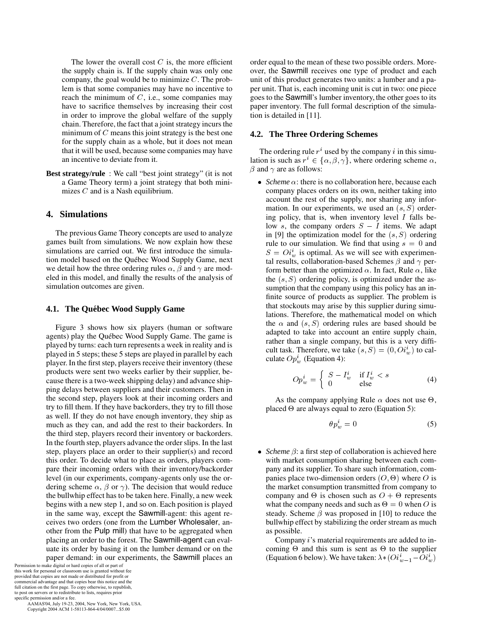The lower the overall cost  $C$  is, the more efficient the supply chain is. If the supply chain was only one company, the goal would be to minimize  $C$ . The problem is that some companies may have no incentive to reach the minimum of  $C$ , i.e., some companies may have to sacrifice themselves by increasing their cost in order to improve the global welfare of the supply chain. Therefore, the fact that a joint strategy incurs the minimum of  $C$  means this joint strategy is the best one for the supply chain as a whole, but it does not mean that it will be used, because some companies may have an incentive to deviate from it.

**Best strategy/rule** : We call "best joint strategy" (it is not a Game Theory term) a joint strategy that both minimizes  $C$  and is a Nash equilibrium.

## **4. Simulations**

The previous Game Theory concepts are used to analyze games built from simulations. We now explain how these simulations are carried out. We first introduce the simulation model based on the Québec Wood Supply Game, next we detail how the three ordering rules  $\alpha$ ,  $\beta$  and  $\gamma$  are modeled in this model, and finally the results of the analysis of simulation outcomes are given.

#### **4.1. The Quebec Wood Supply Game ´**

Figure 3 shows how six players (human or software agents) play the Québec Wood Supply Game. The game is played by turns: each turn represents a week in reality and is played in 5 steps; these 5 steps are played in parallel by each player. In the first step, players receive their inventory (these products were sent two weeks earlier by their supplier, because there is a two-week shipping delay) and advance shipping delays between suppliers and their customers. Then in the second step, players look at their incoming orders and try to fill them. If they have backorders, they try to fill those as well. If they do not have enough inventory, they ship as much as they can, and add the rest to their backorders. In the third step, players record their inventory or backorders. In the fourth step, players advance the order slips. In the last step, players place an order to their supplier(s) and record this order. To decide what to place as orders, players compare their incoming orders with their inventory/backorder level (in our experiments, company-agents only use the ordering scheme  $\alpha$ ,  $\beta$  or  $\gamma$ ). The decision that would reduce the bullwhip effect has to be taken here. Finally, a new week begins with a new step 1, and so on. Each position is played in the same way, except the Sawmill-agent: this agent receives two orders (one from the Lumber Wholesaler, another from the Pulp mill) that have to be aggregated when placing an order to the forest. The Sawmill-agent can evaluate its order by basing it on the lumber demand or on the paper demand: in our experiments, the Sawmill places an

Permission to make digital or hard copies of all or part of this work for personal or classroom use is granted without fee provided that copies are not made or distributed for profit or commercial advantage and that copies bear this notice and the full citation on the first page. To copy otherwise, to republish, to post on servers or to redistribute to lists, requires prior specific permission and/or a fee.

 AAMAS'04, July 19-23, 2004, New York, New York, USA. Copyright 2004 ACM 1-58113-864-4/04/0007...\$5.00

order equal to the mean of these two possible orders. Moreover, the Sawmill receives one type of product and each unit of this product generates two units: a lumber and a paper unit. That is, each incoming unit is cut in two: one piece goes to the Sawmill's lumber inventory, the other goes to its paper inventory. The full formal description of the simulation is detailed in [11].

#### **4.2. The Three Ordering Schemes**

The ordering rule  $r^i$  used by the company i in this simulation is such as  $r^i \in {\alpha, \beta, \gamma}$ , where ordering scheme  $\alpha$ ,  $\beta$  and  $\gamma$  are as follows:

• *Scheme*  $\alpha$ : there is no collaboration here, because each company places orders on its own, neither taking into account the rest of the supply, nor sharing any information. In our experiments, we used an  $(s, S)$  ordering policy, that is, when inventory level  $I$  falls below s, the company orders  $S - I$  items. We adapt in [9] the optimization model for the  $(s, S)$  ordering rule to our simulation. We find that using  $s = 0$  and  $S = O_i^i$  is optimal. As we will see with experimental results, collaboration-based Schemes  $\beta$  and  $\gamma$  perform better than the optimized  $\alpha$ . In fact, Rule  $\alpha$ , like the  $(s, S)$  ordering policy, is optimized under the assumption that the company using this policy has an infinite source of products as supplier. The problem is that stockouts may arise by this supplier during simulations. Therefore, the mathematical model on which the  $\alpha$  and  $(s, S)$  ordering rules are based should be adapted to take into account an entire supply chain, rather than a single company, but this is a very difficult task. Therefore, we take  $(s, S) = (0, O_i^i)$  to calculate  $Op_w^i$  (Equation 4):

$$
Op_w^i = \begin{cases} S - I_w^i & \text{if } I_w^i < s \\ 0 & \text{else} \end{cases} \tag{4}
$$

As the company applying Rule  $\alpha$  does not use  $\Theta$ , placed  $\Theta$  are always equal to zero (Equation 5):

$$
\theta p_w^i = 0 \tag{5}
$$

• *Scheme*  $\beta$ : a first step of collaboration is achieved here with market consumption sharing between each company and its supplier. To share such information, companies place two-dimension orders  $(0, \Theta)$  where O is the market consumption transmitted from company to company and  $\Theta$  is chosen such as  $O + \Theta$  represents what the company needs and such as  $\Theta = 0$  when O is steady. Scheme  $\beta$  was proposed in [10] to reduce the bullwhip effect by stabilizing the order stream as much as possible.

Company 's material requirements are added to incoming  $\Theta$  and this sum is sent as  $\Theta$  to the supplier (Equation 6 below). We have taken:  $\lambda * (O_i^i_{w-1} - O_i^i_w)$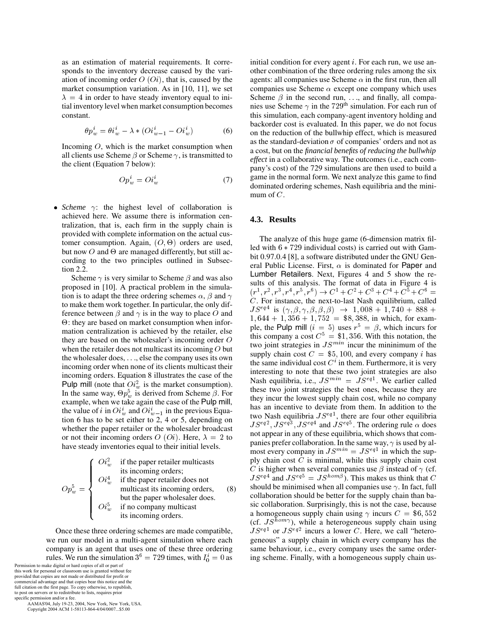as an estimation of material requirements. It corresponds to the inventory decrease caused by the variation of incoming order  $O(0i)$ , that is, caused by the market consumption variation. As in [10, 11], we set  $\lambda = 4$  in order to have steady inventory equal to initial inventory level when market consumption becomes constant.

$$
\theta p_w^i = \theta i_w^i - \lambda * (O_i^i_{w-1} - O_i^i_w) \tag{6}
$$

Incoming  $O$ , which is the market consumption when all clients use Scheme  $\beta$  or Scheme  $\gamma$ , is transmitted to the client (Equation 7 below):

$$
Op_w^i = Oi_w^i \tag{7}
$$

• *Scheme*  $\gamma$ : the highest level of collaboration is achieved here. We assume there is information centralization, that is, each firm in the supply chain is provided with complete information on the actual customer consumption. Again,  $(0, \Theta)$  orders are used, but now  $O$  and  $\Theta$  are managed differently, but still according to the two principles outlined in Subsection 2.2.

Scheme  $\gamma$  is very similar to Scheme  $\beta$  and was also proposed in [10]. A practical problem in the simulation is to adapt the three ordering schemes  $\alpha$ ,  $\beta$  and  $\gamma$ to make them work together. In particular, the only difference between  $\beta$  and  $\gamma$  is in the way to place O and : they are based on market consumption when information centralization is achieved by the retailer, else they are based on the wholesaler's incoming order  $O$ when the retailer does not multicast its incoming  $O$  but the wholesaler does, ---, else the company uses its own incoming order when none of its clients multicast their incoming orders. Equation 8 illustrates the case of the Pulp mill (note that  $\hat{O}i_w^2$  is the market consumption). In the same way,  $\Theta p_w^5$  is derived from Scheme  $\beta$ . For example, when we take again the case of the Pulp mill, the value of i in  $O_i^i$  and  $O_i^i_{w-1}$  in the previous Equation 6 has to be set either to 2, 4 or 5, depending on whether the paper retailer or the wholesaler broadcast or not their incoming orders  $O(O_i)$ . Here,  $\lambda = 2$  to have steady inventories equal to their initial levels.

$$
Op_w^5 = \begin{cases} O i_w^2 & \text{if the paper retailer multicast} \\ i \text{is incoming orders;} \\ O i_w^4 & \text{if the paper retailer does not multicast its incoming orders,} \\ \text{but the paper wholesaler does.} \\ O i_w^5 & \text{if no company multicast} \\ i \text{is incoming orders.} \end{cases} \tag{8}
$$

Once these three ordering schemes are made compatible, we run our model in a multi-agent simulation where each company is an agent that uses one of these three ordering rules. We run the simulation  $3^6 = 729$  times, with  $I_0^i = 0$  as in

Permission to make digital or hard copies of all or part of this work for personal or classroom use is granted without fee provided that copies are not made or distributed for profit or commercial advantage and that copies bear this notice and the full citation on the first page. To copy otherwise, to republish, to post on servers or to redistribute to lists, requires prior specific permission and/or a fee.

 AAMAS'04, July 19-23, 2004, New York, New York, USA. Copyright 2004 ACM 1-58113-864-4/04/0007...\$5.00

initial condition for every agent  $i$ . For each run, we use another combination of the three ordering rules among the six agents: all companies use Scheme  $\alpha$  in the first run, then all companies use Scheme  $\alpha$  except one company which uses Scheme  $\beta$  in the second run,  $\ldots$ , and finally, all companies use Scheme  $\gamma$  in the 729<sup>th</sup> simulation. For each run of this simulation, each company-agent inventory holding and backorder cost is evaluated. In this paper, we do not focus on the reduction of the bullwhip effect, which is measured as the standard-deviation  $\sigma$  of companies' orders and not as a cost, but on the *financial benefits of reducing the bullwhip effect* in a collaborative way. The outcomes (i.e., each company's cost) of the 729 simulations are then used to build a game in the normal form. We next analyze this game to find dominated ordering schemes, Nash equilibria and the minimum of  $C$ .

#### **4.3. Results**

The analyze of this huge game (6-dimension matrix filled with  $6 * 729$  individual costs) is carried out with Gambit 0.97.0.4 [8], a software distributed under the GNU General Public License. First,  $\alpha$  is dominated for **Paper** and Lumber Retailers. Next, Figures 4 and 5 show the results of this analysis. The format of data in Figure 4 is  $(T_-,T_-,T_-,T_-,T_-)\rightarrow\!\!\!\!\!\rightarrow U_-\pm U_-\pm U_-\pm U_-\mp U_-\equiv 0$  $C$ . For instance, the next-to-last Nash equilibrium, called  $JS^{eq4}$  is  $(\gamma, \beta, \gamma, \beta, \beta, \beta) \rightarrow 1,008 + 1,740 + 888 +$  $1,644 + 1,356 + 1,752 =$  \$8,388, in which, for example, the Pulp mill  $(i = 5)$  uses  $r^5 = \beta$ , which incurs for this company a cost  $C^5 = $1,356$ . With this notation, the two joint strategies in  $JS^{min}$  incur the mininimum of the supply chain cost  $C = $5,100$ , and every company *i* has the same individual cost  $C<sup>i</sup>$  in them. Furthermore, it is very interesting to note that these two joint strategies are also Nash equilibria, i.e.,  $JS^{min} = JS^{eq1}$ . We earlier called these two joint strategies the best ones, because they are they incur the lowest supply chain cost, while no company has an incentive to deviate from them. In addition to the two Nash equilibria  $JS<sup>eq1</sup>$ , there are four other equilibria  $JS<sup>eq2</sup>, JS<sup>eq3</sup>, JS<sup>eq4</sup>$  and  $JS<sup>eq5</sup>$ . The ordering rule  $\alpha$  does not appear in any of these equilibria, which shows that companies prefer collaboration. In the same way,  $\gamma$  is used by almost every company in  $JS^{min} = JS^{eq1}$  in which the supply chain cost  $C$  is minimal, while this supply chain cost C is higher when several companies use  $\beta$  instead of  $\gamma$  (cf.  $JS<sup>eq4</sup>$  and  $JS<sup>eq5</sup> = JS<sup>hom/5</sup>$ ). This makes us think that C should be minimised when all companies use  $\gamma$ . In fact, full collaboration should be better for the supply chain than basic collaboration. Surprisingly, this is not the case, because a homogeneous supply chain using  $\gamma$  incurs  $C = $6,552$ (cf.  $JS^{hom\gamma}$ ), while a heterogeneous supply chain using  $JS<sup>eq1</sup>$  or  $JS<sup>eq2</sup>$  incurs a lower C. Here, we call "heterogeneous" a supply chain in which every company has the same behaviour, i.e., every company uses the same ordering scheme. Finally, with a homogeneous supply chain us-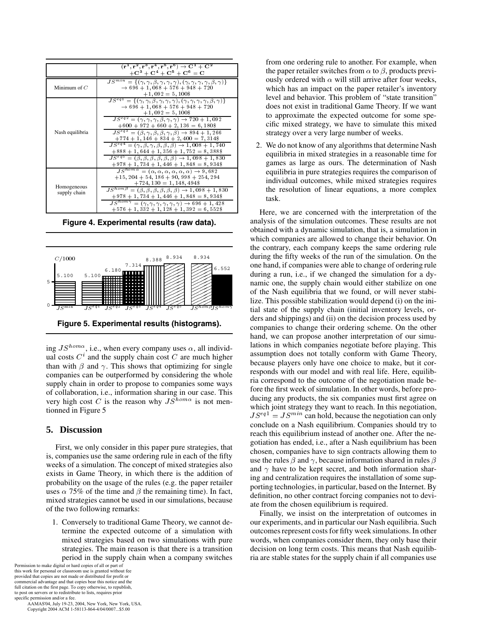|                             | $(\mathbf{r}^1, \mathbf{r}^2, \mathbf{r}^3, \mathbf{r}^4, \mathbf{r}^5, \mathbf{r}^6) \rightarrow \mathbf{C}^1 + \mathbf{C}^2$<br>$+C^3 + C^4 + C^5 + C^6 = C$                                                          |
|-----------------------------|-------------------------------------------------------------------------------------------------------------------------------------------------------------------------------------------------------------------------|
| Minimum of $C$              | $\overline{JS^{min}} = \{(\gamma, \gamma, \beta, \gamma, \gamma, \gamma), (\gamma, \gamma, \gamma, \gamma, \beta, \gamma)\}\$<br>$\rightarrow$ 696 + 1, 068 + 576 + 948 + 720<br>$+1,092 = 5,100\$                      |
| Nash equilibria             | $JS^{eq1} = \{(\gamma, \gamma, \beta, \gamma, \gamma, \gamma), (\gamma, \gamma, \gamma, \gamma, \beta, \gamma)\}\$<br>$\rightarrow$ 696 + 1, 068 + 576 + 948 + 720<br>$+1,092 = 5,100\$                                 |
|                             | $JS^{eq2} = (\gamma, \gamma, \gamma, \beta, \gamma, \gamma) \rightarrow 720 + 1,092$<br>$+600 + 972 + 660 + 2, 136 = 6, 180\$                                                                                           |
|                             | $J S^{eq3} = (\beta, \gamma, \beta, \beta, \gamma, \beta) \rightarrow 894 + 1,266$<br>$+774 + 1$ , 146 + 834 + 2, 400 = 7, 314\$<br>$JS^{eq4} = (\gamma, \beta, \gamma, \beta, \beta, \beta) \rightarrow 1,008 + 1,740$ |
|                             | $+888 + 1,644 + 1,356 + 1,752 = 8,388$<br>$\overline{JS^{eq5}} = (\beta, \beta, \beta, \beta, \beta, \beta) \rightarrow 1,098 + 1,830$                                                                                  |
|                             | $+978 + 1,734 + 1,446 + 1,848 = 8,934$<br>$JS^{hom\alpha} = (\alpha, \alpha, \alpha, \alpha, \alpha, \alpha) \rightarrow 9,682$                                                                                         |
| Homogeneous<br>supply chain | $+15, 204 + 54, 186 + 90, 998 + 254, 294$<br>$+724, 130 = 1, 148, 494\$                                                                                                                                                 |
|                             | $\overline{JS^{hom}}^{\beta} = (\beta, \beta, \beta, \beta, \beta, \beta) \rightarrow 1,098 + 1,830$<br>$+978 + 1,734 + 1,446 + 1,848 = 8,934$                                                                          |
|                             | $\overline{JS^{hom}}\gamma = (\gamma, \gamma, \gamma, \overline{\gamma}, \gamma, \gamma) \rightarrow 696 + 1,428$<br>$+576 + 1,332 + 1,128 + 1,392 = 6,552$ \$                                                          |

**Figure 4. Experimental results (raw data).**



**Figure 5. Experimental results (histograms).**

ing  $JS^{hom\alpha}$ , i.e., when every company uses  $\alpha$ , all individual costs  $C<sup>i</sup>$  and the supply chain cost C are much higher than with  $\beta$  and  $\gamma$ . This shows that optimizing for single companies can be outperformed by considering the whole supply chain in order to propose to companies some ways of collaboration, i.e., information sharing in our case. This very high cost C is the reason why  $JS^{hom\alpha}$  is not mentionned in Figure 5

# **5. Discussion**

First, we only consider in this paper pure strategies, that is, companies use the same ordering rule in each of the fifty weeks of a simulation. The concept of mixed strategies also exists in Game Theory, in which there is the addition of probability on the usage of the rules (e.g. the paper retailer uses  $\alpha$  75% of the time and  $\beta$  the remaining time). In fact, mixed strategies cannot be used in our simulations, because of the two following remarks:

1. Conversely to traditional Game Theory, we cannot determine the expected outcome of a simulation with mixed strategies based on two simulations with pure strategies. The main reason is that there is a transition period in the supply chain when a company switches

Permission to make digital or hard copies of all or part of this work for personal or classroom use is granted without fee provided that copies are not made or distributed for profit or commercial advantage and that copies bear this notice and the full citation on the first page. To copy otherwise, to republish, to post on servers or to redistribute to lists, requires prior specific permission and/or a fee.

 AAMAS'04, July 19-23, 2004, New York, New York, USA. Copyright 2004 ACM 1-58113-864-4/04/0007...\$5.00

from one ordering rule to another. For example, when the paper retailer switches from  $\alpha$  to  $\beta$ , products previously ordered with  $\alpha$  will still arrive after four weeks, which has an impact on the paper retailer's inventory level and behavior. This problem of "state transition" does not exist in traditional Game Theory. If we want to approximate the expected outcome for some specific mixed strategy, we have to simulate this mixed strategy over a very large number of weeks.

2. We do not know of any algorithms that determine Nash equilibria in mixed strategies in a reasonable time for games as large as ours. The determination of Nash equilibria in pure strategies requires the comparison of individual outcomes, while mixed strategies requires the resolution of linear equations, a more complex task.

 $\mathcal{L}$  lize. This possible stabilization would depend (i) on the iniof the Nash equilibria that we found, or will never stabinamic one, the supply chain would either stabilize on one during a run, i.e., if we changed the simulation for a dy $t^{355^{nom}}$  tial state of the supply chain (initial inventory levels, or-Here, we are concerned with the interpretation of the analysis of the simulation outcomes. These results are not obtained with a dynamic simulation, that is, a simulation in which companies are allowed to change their behavior. On the contrary, each company keeps the same ordering rule during the fifty weeks of the run of the simulation. On the one hand, if companies were able to change of ordering rule ders and shippings) and (ii) on the decision process used by companies to change their ordering scheme. On the other hand, we can propose another interpretation of our simulations in which companies negotiate before playing. This assumption does not totally conform with Game Theory, because players only have one choice to make, but it corresponds with our model and with real life. Here, equilibria correspond to the outcome of the negotiation made before the first week of simulation. In other words, before producing any products, the six companies must first agree on which joint strategy they want to reach. In this negotiation,  $JS<sup>eq1</sup> = JS<sup>min</sup>$  can hold, because the negotiation can only conclude on a Nash equilibrium. Companies should try to reach this equilibrium instead of another one. After the negotiation has ended, i.e., after a Nash equilibrium has been chosen, companies have to sign contracts allowing them to use the rules  $\beta$  and  $\gamma$ , because information shared in rules  $\beta$ and  $\gamma$  have to be kept secret, and both information sharing and centralization requires the installation of some supporting technologies, in particular, based on the Internet. By definition, no other contract forcing companies not to deviate from the chosen equilibrium is required.

> Finally, we insist on the interpretation of outcomes in our experiments, and in particular our Nash equilibria. Such outcomes represent costs for fifty week simulations. In other words, when companies consider them, they only base their decision on long term costs. This means that Nash equilibria are stable states for the supply chain if all companies use